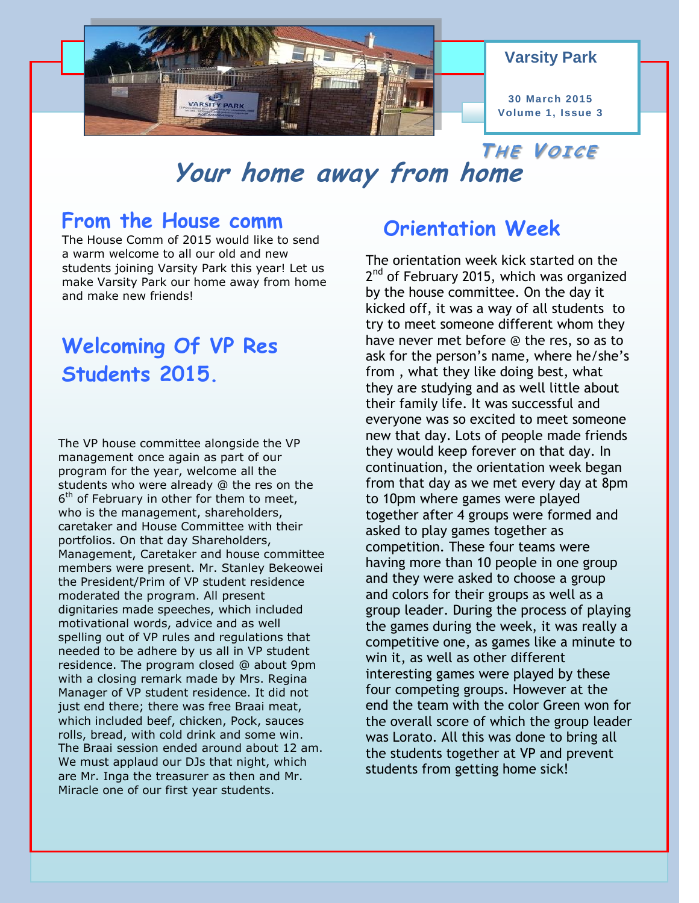

#### **Varsity Park**

**30 March 2015 Volume 1, Issue 3**

## **Your home away from home**  $T$ **HE VOICE**

### **From the House comm**

The House Comm of 2015 would like to send a warm welcome to all our old and new students joining Varsity Park this year! Let us make Varsity Park our home away from home and make new friends!

# **Welcoming Of VP Res Students 2015.**

The VP house committee alongside the VP management once again as part of our program for the year, welcome all the students who were already @ the res on the  $6<sup>th</sup>$  of February in other for them to meet, who is the management, shareholders, caretaker and House Committee with their portfolios. On that day Shareholders, Management, Caretaker and house committee members were present. Mr. Stanley Bekeowei the President/Prim of VP student residence moderated the program. All present dignitaries made speeches, which included motivational words, advice and as well spelling out of VP rules and regulations that needed to be adhere by us all in VP student residence. The program closed @ about 9pm with a closing remark made by Mrs. Regina Manager of VP student residence. It did not just end there; there was free Braai meat, which included beef, chicken, Pock, sauces rolls, bread, with cold drink and some win. The Braai session ended around about 12 am. We must applaud our DJs that night, which are Mr. Inga the treasurer as then and Mr. Miracle one of our first year students.

### **Orientation Week**

The orientation week kick started on the 2<sup>nd</sup> of February 2015, which was organized by the house committee. On the day it kicked off, it was a way of all students to try to meet someone different whom they have never met before @ the res, so as to ask for the person's name, where he/she's from , what they like doing best, what they are studying and as well little about their family life. It was successful and everyone was so excited to meet someone new that day. Lots of people made friends they would keep forever on that day. In continuation, the orientation week began from that day as we met every day at 8pm to 10pm where games were played together after 4 groups were formed and asked to play games together as competition. These four teams were having more than 10 people in one group and they were asked to choose a group and colors for their groups as well as a group leader. During the process of playing the games during the week, it was really a competitive one, as games like a minute to win it, as well as other different interesting games were played by these four competing groups. However at the end the team with the color Green won for the overall score of which the group leader was Lorato. All this was done to bring all the students together at VP and prevent students from getting home sick!